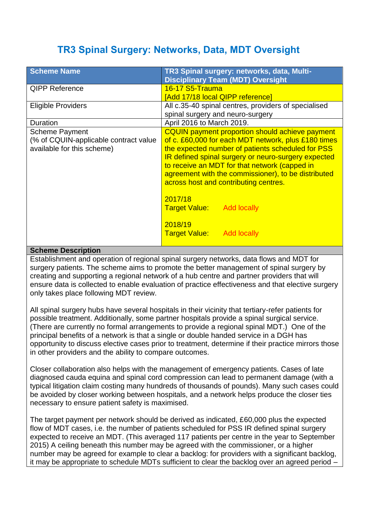# **TR3 Spinal Surgery: Networks, Data, MDT Oversight**

| <b>Scheme Name</b>                                                                           | TR3 Spinal surgery: networks, data, Multi-<br><b>Disciplinary Team (MDT) Oversight</b>                                                                                                                                                                                                                                                                                     |
|----------------------------------------------------------------------------------------------|----------------------------------------------------------------------------------------------------------------------------------------------------------------------------------------------------------------------------------------------------------------------------------------------------------------------------------------------------------------------------|
| <b>QIPP Reference</b>                                                                        | 16-17 S5-Trauma<br>[Add 17/18 local QIPP reference]                                                                                                                                                                                                                                                                                                                        |
| <b>Eligible Providers</b>                                                                    | All c.35-40 spinal centres, providers of specialised<br>spinal surgery and neuro-surgery                                                                                                                                                                                                                                                                                   |
| Duration                                                                                     | April 2016 to March 2019.                                                                                                                                                                                                                                                                                                                                                  |
| <b>Scheme Payment</b><br>(% of CQUIN-applicable contract value<br>available for this scheme) | <b>CQUIN</b> payment proportion should achieve payment<br>of c. £60,000 for each MDT network, plus £180 times<br>the expected number of patients scheduled for PSS<br>IR defined spinal surgery or neuro-surgery expected<br>to receive an MDT for that network (capped in<br>agreement with the commissioner), to be distributed<br>across host and contributing centres. |
|                                                                                              | 2017/18<br><b>Target Value:</b> Add locally<br>2018/19                                                                                                                                                                                                                                                                                                                     |
|                                                                                              | <b>Target Value:</b> Add locally                                                                                                                                                                                                                                                                                                                                           |

#### **Scheme Description**

Establishment and operation of regional spinal surgery networks, data flows and MDT for surgery patients. The scheme aims to promote the better management of spinal surgery by creating and supporting a regional network of a hub centre and partner providers that will ensure data is collected to enable evaluation of practice effectiveness and that elective surgery only takes place following MDT review.

All spinal surgery hubs have several hospitals in their vicinity that tertiary-refer patients for possible treatment. Additionally, some partner hospitals provide a spinal surgical service. (There are currently no formal arrangements to provide a regional spinal MDT.) One of the principal benefits of a network is that a single or double handed service in a DGH has opportunity to discuss elective cases prior to treatment, determine if their practice mirrors those in other providers and the ability to compare outcomes.

Closer collaboration also helps with the management of emergency patients. Cases of late diagnosed cauda equina and spinal cord compression can lead to permanent damage (with a typical litigation claim costing many hundreds of thousands of pounds). Many such cases could be avoided by closer working between hospitals, and a network helps produce the closer ties necessary to ensure patient safety is maximised.

The target payment per network should be derived as indicated, £60,000 plus the expected flow of MDT cases, i.e. the number of patients scheduled for PSS IR defined spinal surgery expected to receive an MDT. (This averaged 117 patients per centre in the year to September 2015) A ceiling beneath this number may be agreed with the commissioner, or a higher number may be agreed for example to clear a backlog: for providers with a significant backlog, it may be appropriate to schedule MDTs sufficient to clear the backlog over an agreed period –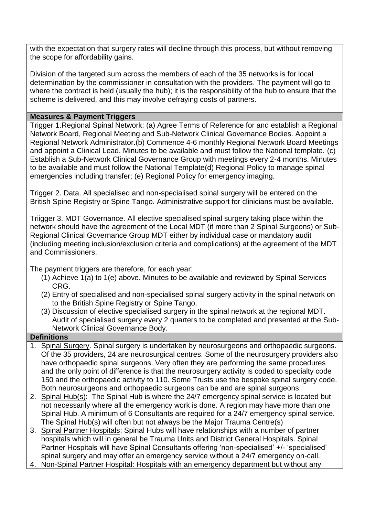with the expectation that surgery rates will decline through this process, but without removing the scope for affordability gains.

Division of the targeted sum across the members of each of the 35 networks is for local determination by the commissioner in consultation with the providers. The payment will go to where the contract is held (usually the hub); it is the responsibility of the hub to ensure that the scheme is delivered, and this may involve defraying costs of partners.

## **Measures & Payment Triggers**

Trigger 1.Regional Spinal Network: (a) Agree Terms of Reference for and establish a Regional Network Board, Regional Meeting and Sub-Network Clinical Governance Bodies. Appoint a Regional Network Administrator.(b) Commence 4-6 monthly Regional Network Board Meetings and appoint a Clinical Lead. Minutes to be available and must follow the National template. (c) Establish a Sub-Network Clinical Governance Group with meetings every 2-4 months. Minutes to be available and must follow the National Template(d) Regional Policy to manage spinal emergencies including transfer; (e) Regional Policy for emergency imaging.

Trigger 2. Data. All specialised and non-specialised spinal surgery will be entered on the British Spine Registry or Spine Tango. Administrative support for clinicians must be available.

Triigger 3. MDT Governance. All elective specialised spinal surgery taking place within the network should have the agreement of the Local MDT (if more than 2 Spinal Surgeons) or Sub-Regional Clinical Governance Group MDT either by individual case or mandatory audit (including meeting inclusion/exclusion criteria and complications) at the agreement of the MDT and Commissioners.

The payment triggers are therefore, for each year:

- (1) Achieve 1(a) to 1(e) above. Minutes to be available and reviewed by Spinal Services CRG.
- (2) Entry of specialised and non-specialised spinal surgery activity in the spinal network on to the British Spine Registry or Spine Tango.
- (3) Discussion of elective specialised surgery in the spinal network at the regional MDT. Audit of specialised surgery every 2 quarters to be completed and presented at the Sub-Network Clinical Governance Body.

# **Definitions**

- 1. Spinal Surgery. Spinal surgery is undertaken by neurosurgeons and orthopaedic surgeons. Of the 35 providers, 24 are neurosurgical centres. Some of the neurosurgery providers also have orthopaedic spinal surgeons. Very often they are performing the same procedures and the only point of difference is that the neurosurgery activity is coded to specialty code 150 and the orthopaedic activity to 110. Some Trusts use the bespoke spinal surgery code. Both neurosurgeons and orthopaedic surgeons can be and are spinal surgeons.
- 2. Spinal Hub(s): The Spinal Hub is where the 24/7 emergency spinal service is located but not necessarily where all the emergency work is done. A region may have more than one Spinal Hub. A minimum of 6 Consultants are required for a 24/7 emergency spinal service. The Spinal Hub(s) will often but not always be the Major Trauma Centre(s)
- 3. Spinal Partner Hospitals: Spinal Hubs will have relationships with a number of partner hospitals which will in general be Trauma Units and District General Hospitals. Spinal Partner Hospitals will have Spinal Consultants offering 'non-specialised' +/- 'specialised' spinal surgery and may offer an emergency service without a 24/7 emergency on-call.
- 4. Non-Spinal Partner Hospital: Hospitals with an emergency department but without any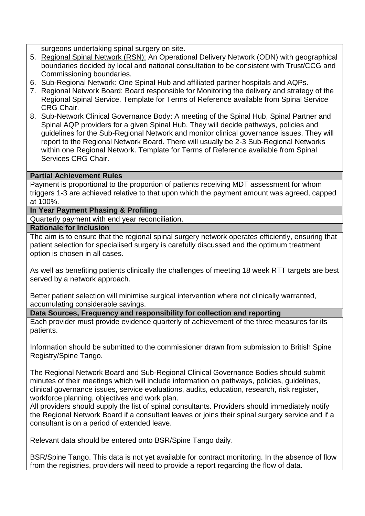surgeons undertaking spinal surgery on site.

- 5. Regional Spinal Network (RSN): An Operational Delivery Network (ODN) with geographical boundaries decided by local and national consultation to be consistent with Trust/CCG and Commissioning boundaries.
- 6. Sub-Regional Network: One Spinal Hub and affiliated partner hospitals and AQPs.
- 7. Regional Network Board: Board responsible for Monitoring the delivery and strategy of the Regional Spinal Service. Template for Terms of Reference available from Spinal Service CRG Chair.
- 8. Sub-Network Clinical Governance Body: A meeting of the Spinal Hub, Spinal Partner and Spinal AQP providers for a given Spinal Hub. They will decide pathways, policies and guidelines for the Sub-Regional Network and monitor clinical governance issues. They will report to the Regional Network Board. There will usually be 2-3 Sub-Regional Networks within one Regional Network. Template for Terms of Reference available from Spinal Services CRG Chair.

#### **Partial Achievement Rules**

Payment is proportional to the proportion of patients receiving MDT assessment for whom triggers 1-3 are achieved relative to that upon which the payment amount was agreed, capped at 100%.

# **In Year Payment Phasing & Profiling**

Quarterly payment with end year reconciliation.

#### **Rationale for Inclusion**

The aim is to ensure that the regional spinal surgery network operates efficiently, ensuring that patient selection for specialised surgery is carefully discussed and the optimum treatment option is chosen in all cases.

As well as benefiting patients clinically the challenges of meeting 18 week RTT targets are best served by a network approach.

Better patient selection will minimise surgical intervention where not clinically warranted. accumulating considerable savings.

**Data Sources, Frequency and responsibility for collection and reporting**

Each provider must provide evidence quarterly of achievement of the three measures for its patients.

Information should be submitted to the commissioner drawn from submission to British Spine Registry/Spine Tango.

The Regional Network Board and Sub-Regional Clinical Governance Bodies should submit minutes of their meetings which will include information on pathways, policies, guidelines, clinical governance issues, service evaluations, audits, education, research, risk register, workforce planning, objectives and work plan.

All providers should supply the list of spinal consultants. Providers should immediately notify the Regional Network Board if a consultant leaves or joins their spinal surgery service and if a consultant is on a period of extended leave.

Relevant data should be entered onto BSR/Spine Tango daily.

BSR/Spine Tango. This data is not yet available for contract monitoring. In the absence of flow from the registries, providers will need to provide a report regarding the flow of data.